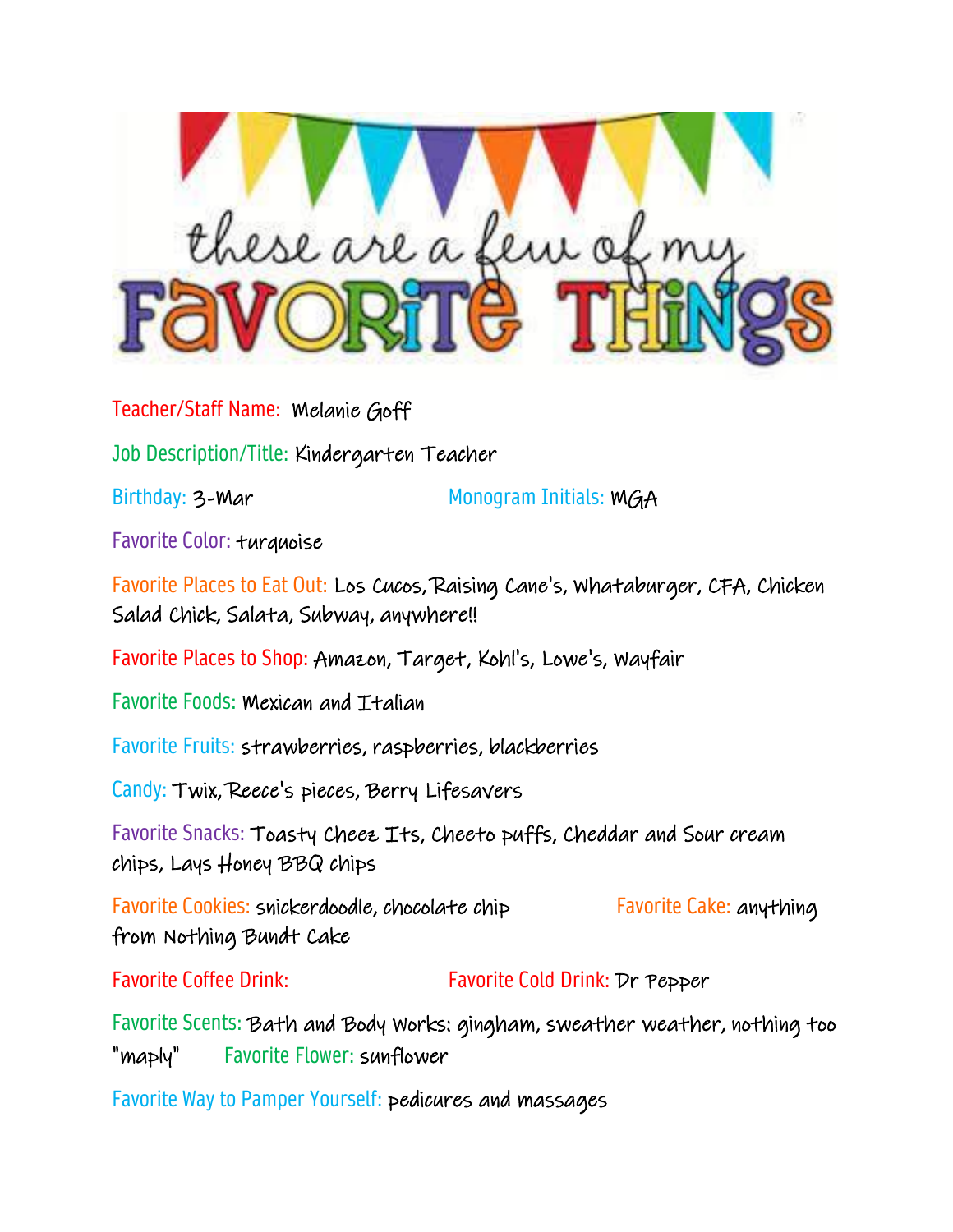

Teacher/Staff Name: Melanie Goff

Job Description/Title: Kindergarten Teacher

Birthday: 3-Mar Monogram Initials: MGA

Favorite Color: turquoise

Favorite Places to Eat Out: Los Cucos, Raising Cane's, Whataburger, CFA, Chicken Salad Chick, Salata, Subway, anywhere!!

Favorite Places to Shop: Amazon, Target, Kohl's, Lowe's, Wayfair

Favorite Foods: Mexican and Italian

Favorite Fruits: strawberries, raspberries, blackberries

Candy: Twix, Reece's pieces, Berry Lifesavers

Favorite Snacks: Toasty Cheez Its, Cheeto puffs, Cheddar and Sour cream chips, Lays Honey BBQ chips

Favorite Cookies: snickerdoodle, chocolate chip Favorite Cake: anything from Nothing Bundt Cake

Favorite Coffee Drink: Favorite Cold Drink: Dr Pepper

Favorite Scents: Bath and Body Works: gingham, sweather weather, nothing too "maply" Favorite Flower: sunflower

Favorite Way to Pamper Yourself: pedicures and massages